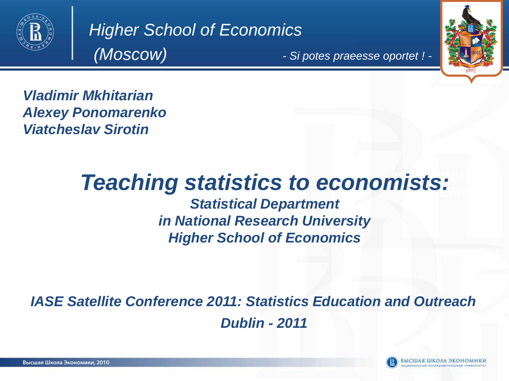

*Higher School of Economics (Moscow)*

*- Si potes praeesse oportet ! -*



*Vladimir Mkhitarian Alexey Ponomarenko Viatcheslav Sirotin*

#### піс*і*ст **Teaching statistics to economists:**

*Statistical Department in National Research University Higher School of Economics*

*IASE Satellite Conference 2011: Statistics Education and Outreach Dublin - 2011*

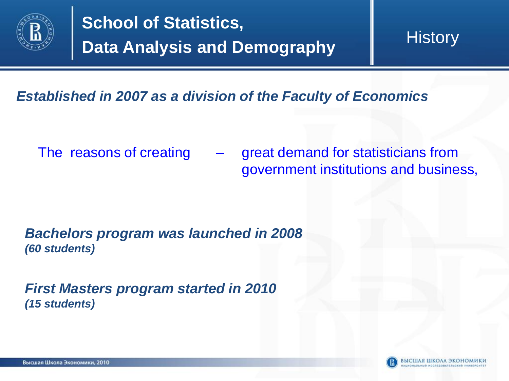

**History** 

#### *Established in 2007 as a division of the Faculty of Economics*

The reasons of creating – great demand for statisticians from government institutions and business,

*Bachelors program was launched in 2008 (60 students)* 

*First Masters program started in 2010 (15 students)*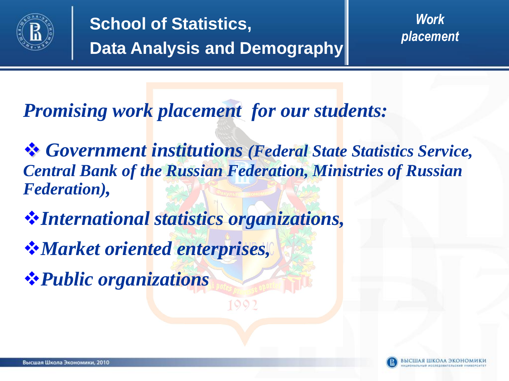

*Work placement*

*Promising work placement for our students:*

 *Government institutions (Federal State Statistics Service, Central Bank of the Russian Federation, Ministries of Russian Federation),*

*International statistics organizations,*

*Market oriented enterprises,*

*Public organizations*

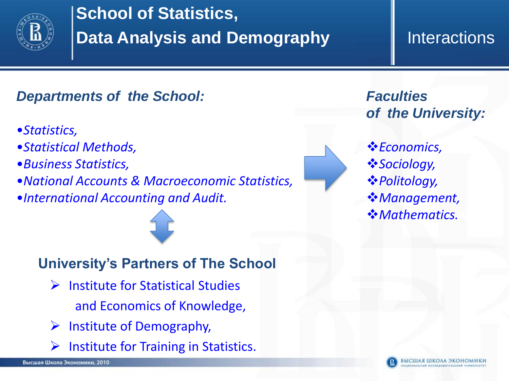

### **Interactions**

### *Departments of the School:*

- •*Statistics,*
- •*Statistical Methods,*
- •*Business Statistics,*
- •*National Accounts & Macroeconomic Statistics,*
- •*International Accounting and Audit.*



*Faculties of the University:*

*<u>☆Economics</u> Sociology, Politology, Management, Mathematics.*

#### **University's Partners of The School**

- $\triangleright$  Institute for Statistical Studies and Economics of Knowledge,
- $\triangleright$  Institute of Demography,
- $\triangleright$  Institute for Training in Statistics.

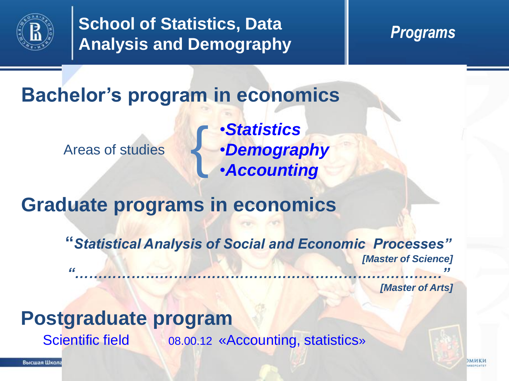

### **Bachelor's program in economics**

Areas of studies {

•*Statistics* •*Demography* •*Accounting*

### **Graduate programs in economics**

**"***Statistical Analysis of Social and Economic Processes" [Master of Science] "……………………………………………………………………"*

*[Master of Arts]*

### **Postgraduate program**

Scientific field 08.00.12 «Accounting, statistics»

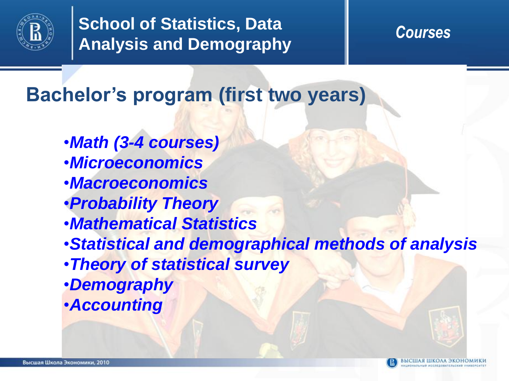

**Bachelor's program (first two years)**

- •*Math (3-4 courses)*
- •*Microeconomics*
- •*Macroeconomics*
- •*Probability Theory*
- •*Mathematical Statistics*
- •*Statistical and demographical methods of analysis*
- •*Theory of statistical survey*
- •*Demography*
- •*Accounting*

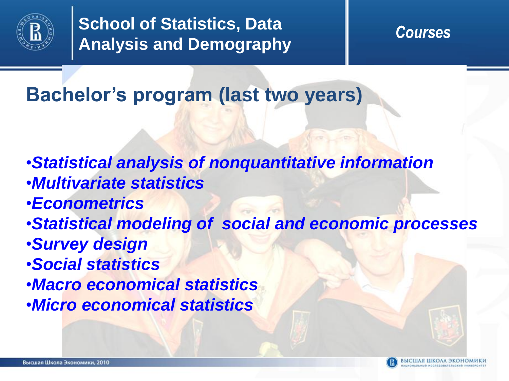

**Bachelor's program (last two years)**

- •*Statistical analysis of nonquantitative information*
- •*Multivariate statistics*
- •*Econometrics*
- •*Statistical modeling of social and economic processes*
- •*Survey design*
- •*Social statistics*
- •*Macro economical statistics*
- •*Micro economical statistics*

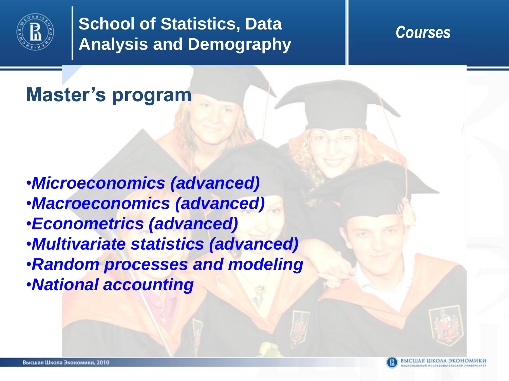

## **Master's program**

•*Microeconomics (advanced)* •*Macroeconomics (advanced)* •*Econometrics (advanced)* •*Multivariate statistics (advanced)* •*Random processes and modeling* •*National accounting*



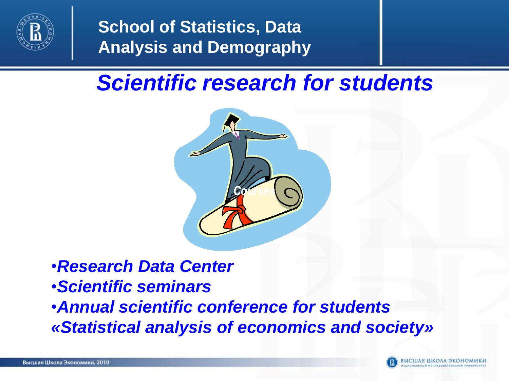

# *Scientific research for students*



•*Research Data Center*  •*Scientific seminars*

•*Annual scientific conference for students «Statistical analysis of economics and society»*